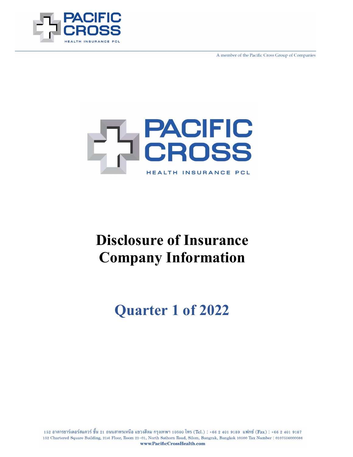

A member of the Pacific Cross Group of Companies



# **Disclosure of Insurance Company Information**

**Quarter 1 of 2022**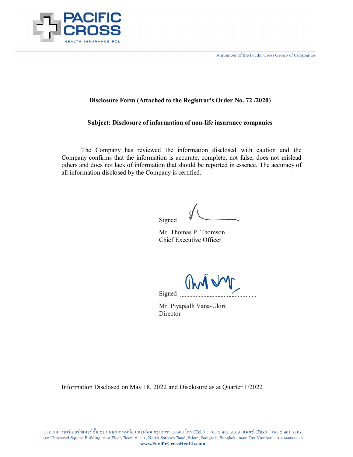

A member of the Pacific Cross Group of Companies

#### **Disclosure Form (Attached to the Registrar's Order No. 72 /2020)**

#### **Subject: Disclosure of information of non-life insurance companies**

The Company has reviewed the information disclosed with caution and the Company confirms that the information is accurate, complete, not false, does not mislead others and does not lack of information that should be reported in essence. The accuracy of all information disclosed by the Company is certified.

Signed

Mr. Thomas P. Thomson Chief Executive Officer

Om M Signed

Mr. Piyapadh Vana-Ukirt **Director** 

Information Disclosed on May 18, 2022 and Disclosure as at Quarter 1/2022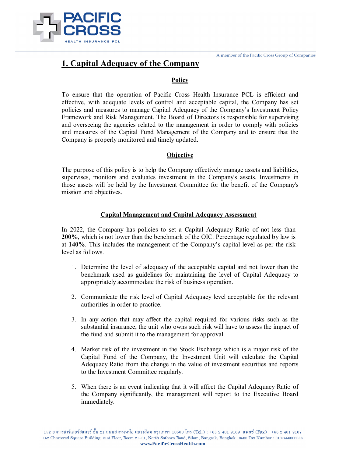

### **1. Capital Adequacy of the Company**

#### **Policy**

To ensure that the operation of Pacific Cross Health Insurance PCL is efficient and effective, with adequate levels of control and acceptable capital, the Company has set policies and measures to manage Capital Adequacy of the Company's Investment Policy Framework and Risk Management. The Board of Directors is responsible for supervising and overseeing the agencies related to the management in order to comply with policies and measures of the Capital Fund Management of the Company and to ensure that the Company is properly monitored and timely updated.

#### **Objective**

The purpose of this policy is to help the Company effectively manage assets and liabilities, supervises, monitors and evaluates investment in the Company's assets. Investments in those assets will be held by the Investment Committee for the benefit of the Company's mission and objectives.

#### **Capital Management and Capital Adequacy Assessment**

In 2022, the Company has policies to set a Capital Adequacy Ratio of not less than **200%**, which is not lower than the benchmark of the OIC. Percentage regulated by law is at **140%**. This includes the management of the Company's capital level as per the risk level as follows.

- 1. Determine the level of adequacy of the acceptable capital and not lower than the benchmark used as guidelines for maintaining the level of Capital Adequacy to appropriately accommodate the risk of business operation.
- 2. Communicate the risk level of Capital Adequacy level acceptable for the relevant authorities in order to practice.
- 3. In any action that may affect the capital required for various risks such as the substantial insurance, the unit who owns such risk will have to assess the impact of the fund and submit it to the management for approval.
- 4. Market risk of the investment in the Stock Exchange which is a major risk of the Capital Fund of the Company, the Investment Unit will calculate the Capital Adequacy Ratio from the change in the value of investment securities and reports to the Investment Committee regularly.
- 5. When there is an event indicating that it will affect the Capital Adequacy Ratio of the Company significantly, the management will report to the Executive Board immediately.